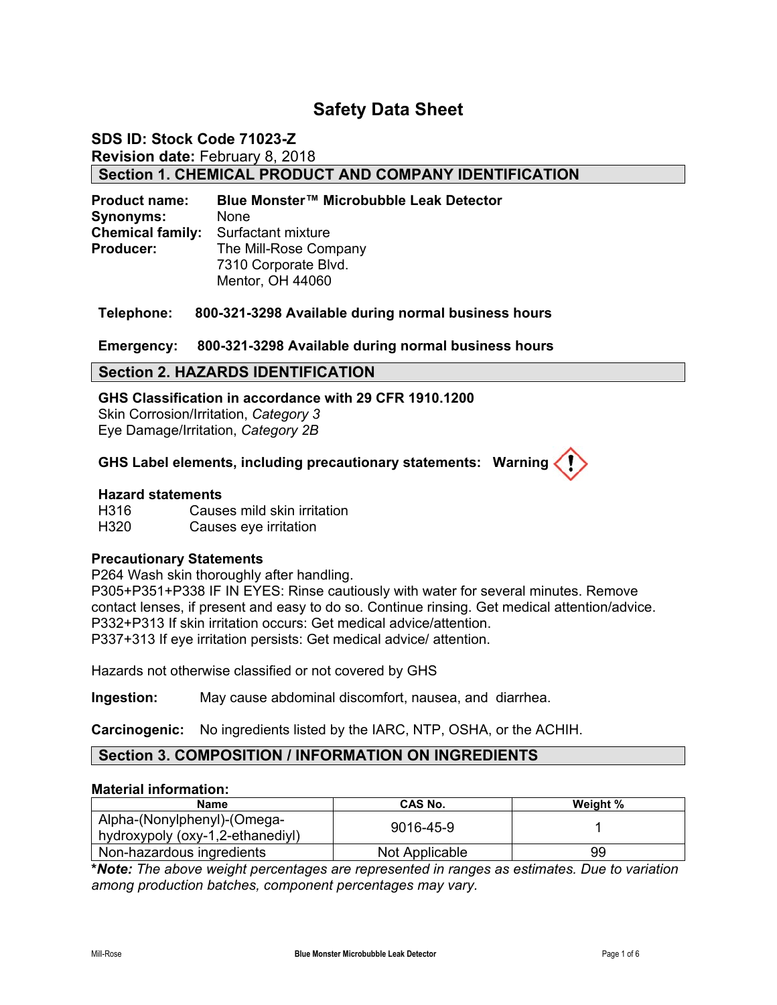# **Safety Data Sheet**

### **SDS ID: Stock Code 71023-Z Revision date:** February 8, 2018 **Section 1. CHEMICAL PRODUCT AND COMPANY IDENTIFICATION**

**Product name: Blue Monster™ Microbubble Leak Detector Synonyms:** None **Chemical family:** Surfactant mixture **Producer:** The Mill-Rose Company 7310 Corporate Blvd. Mentor, OH 44060

**Telephone: 800-321-3298 Available during normal business hours** 

#### **Emergency: 800-321-3298 Available during normal business hours**

#### **Section 2. HAZARDS IDENTIFICATION**

**GHS Classification in accordance with 29 CFR 1910.1200**  Skin Corrosion/Irritation, *Category 3* Eye Damage/Irritation, *Category 2B*

#### **GHS Label elements, including precautionary statements: Warning**

#### **Hazard statements**

H316 Causes mild skin irritation H320 Causes eye irritation

#### **Precautionary Statements**

P264 Wash skin thoroughly after handling.

P305+P351+P338 IF IN EYES: Rinse cautiously with water for several minutes. Remove contact lenses, if present and easy to do so. Continue rinsing. Get medical attention/advice. P332+P313 If skin irritation occurs: Get medical advice/attention. P337+313 If eye irritation persists: Get medical advice/ attention.

Hazards not otherwise classified or not covered by GHS

**Ingestion:** May cause abdominal discomfort, nausea, and diarrhea.

**Carcinogenic:** No ingredients listed by the IARC, NTP, OSHA, or the ACHIH.

#### **Section 3. COMPOSITION / INFORMATION ON INGREDIENTS**

#### **Material information:**

| Name                                                            | <b>CAS No.</b> | Weight % |
|-----------------------------------------------------------------|----------------|----------|
| Alpha-(Nonylphenyl)-(Omega-<br>hydroxypoly (oxy-1,2-ethanediyl) | 9016-45-9      |          |
| Non-hazardous ingredients                                       | Not Applicable | 99       |

**\****Note: The above weight percentages are represented in ranges as estimates. Due to variation among production batches, component percentages may vary.*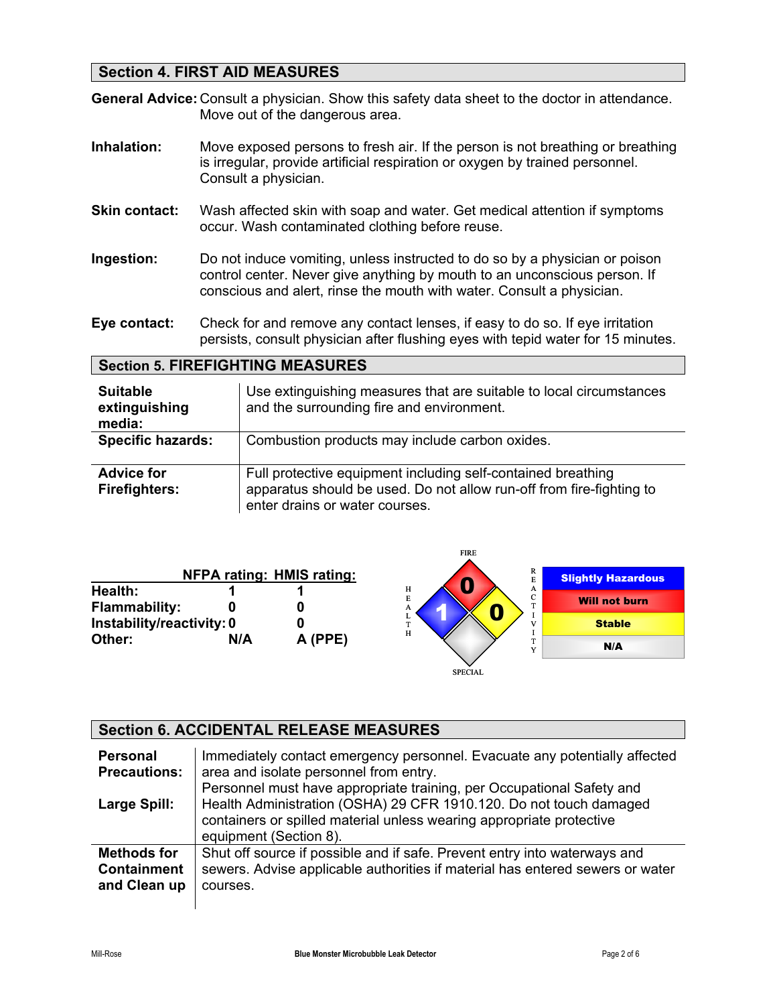# **Section 4. FIRST AID MEASURES**

**General Advice:** Consult a physician. Show this safety data sheet to the doctor in attendance. Move out of the dangerous area.

- **Inhalation:** Move exposed persons to fresh air. If the person is not breathing or breathing is irregular, provide artificial respiration or oxygen by trained personnel. Consult a physician.
- **Skin contact:** Wash affected skin with soap and water. Get medical attention if symptoms occur. Wash contaminated clothing before reuse.
- **Ingestion:** Do not induce vomiting, unless instructed to do so by a physician or poison control center. Never give anything by mouth to an unconscious person. If conscious and alert, rinse the mouth with water. Consult a physician.
- **Eye contact:** Check for and remove any contact lenses, if easy to do so. If eye irritation persists, consult physician after flushing eyes with tepid water for 15 minutes.

#### **Section 5. FIREFIGHTING MEASURES**

| <b>Suitable</b><br>extinguishing<br>media: | Use extinguishing measures that are suitable to local circumstances<br>and the surrounding fire and environment.                                                       |
|--------------------------------------------|------------------------------------------------------------------------------------------------------------------------------------------------------------------------|
| <b>Specific hazards:</b>                   | Combustion products may include carbon oxides.                                                                                                                         |
| <b>Advice for</b><br><b>Firefighters:</b>  | Full protective equipment including self-contained breathing<br>apparatus should be used. Do not allow run-off from fire-fighting to<br>enter drains or water courses. |

|                                 |     |                                  | FIKE                  |                           |
|---------------------------------|-----|----------------------------------|-----------------------|---------------------------|
|                                 |     | <b>NFPA rating: HMIS rating:</b> | R                     | <b>Slightly Hazardous</b> |
| Health:<br><b>Flammability:</b> |     |                                  | н<br>A<br>E<br>C<br>А | <b>Will not burn</b>      |
| Instability/reactivity: 0       |     | L<br>m.<br>н                     | <b>Stable</b>         |                           |
| Other:                          | N/A | A (PPE)                          |                       | N/A                       |
|                                 |     |                                  | <b>SPECIAL</b>        |                           |

FIRE

#### **Section 6. ACCIDENTAL RELEASE MEASURES Personal Precautions: Large Spill:**  Immediately contact emergency personnel. Evacuate any potentially affected area and isolate personnel from entry. Personnel must have appropriate training, per Occupational Safety and Health Administration (OSHA) 29 CFR 1910.120. Do not touch damaged containers or spilled material unless wearing appropriate protective equipment (Section 8). **Methods for Containment and Clean up**  Shut off source if possible and if safe. Prevent entry into waterways and sewers. Advise applicable authorities if material has entered sewers or water courses.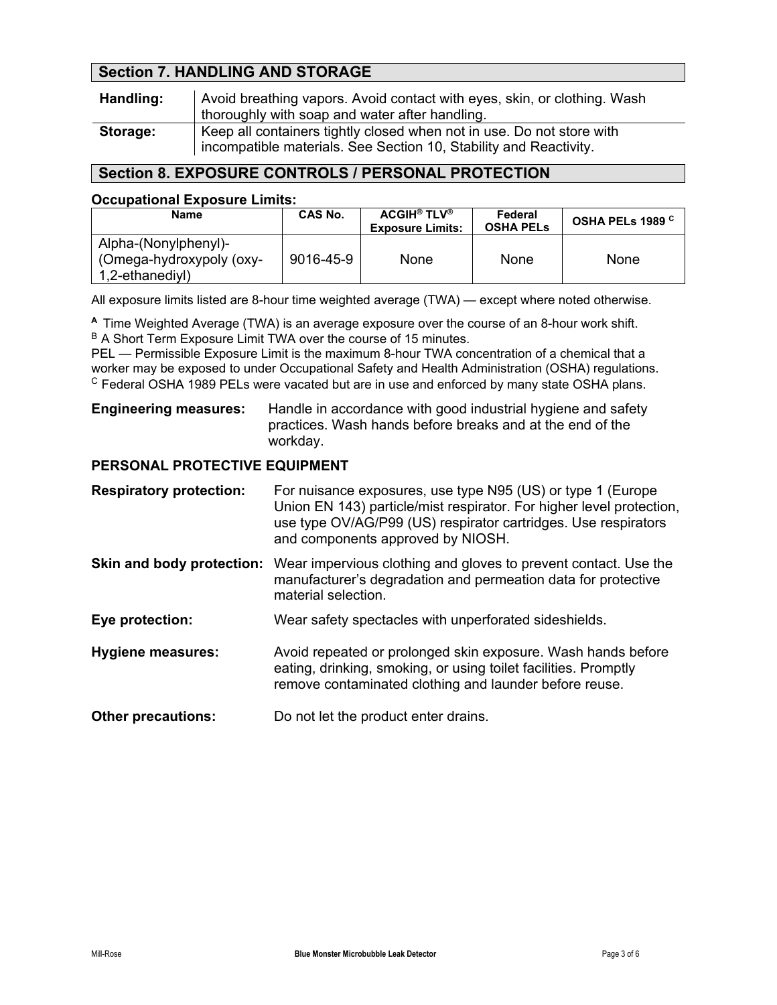# **Section 7. HANDLING AND STORAGE**

| Handling: | Avoid breathing vapors. Avoid contact with eyes, skin, or clothing. Wash<br>thoroughly with soap and water after handling.                 |
|-----------|--------------------------------------------------------------------------------------------------------------------------------------------|
| Storage:  | Keep all containers tightly closed when not in use. Do not store with<br>incompatible materials. See Section 10, Stability and Reactivity. |

# **Section 8. EXPOSURE CONTROLS / PERSONAL PROTECTION**

#### **Occupational Exposure Limits:**

| Name                                                                | CAS No.   | <b>ACGIH® TLV®</b><br><b>Exposure Limits:</b> | Federal<br><b>OSHA PELS</b> | OSHA PELs 1989 <sup>C</sup> |
|---------------------------------------------------------------------|-----------|-----------------------------------------------|-----------------------------|-----------------------------|
| Alpha-(Nonylphenyl)-<br>(Omega-hydroxypoly (oxy-<br>1,2-ethanediyl) | 9016-45-9 | None                                          | <b>None</b>                 | <b>None</b>                 |

All exposure limits listed are 8-hour time weighted average (TWA) — except where noted otherwise.

**<sup>A</sup>**Time Weighted Average (TWA) is an average exposure over the course of an 8-hour work shift. B A Short Term Exposure Limit TWA over the course of 15 minutes.

PEL — Permissible Exposure Limit is the maximum 8-hour TWA concentration of a chemical that a worker may be exposed to under Occupational Safety and Health Administration (OSHA) regulations. <sup>C</sup> Federal OSHA 1989 PELs were vacated but are in use and enforced by many state OSHA plans.

#### **Engineering measures:** Handle in accordance with good industrial hygiene and safety practices. Wash hands before breaks and at the end of the workday.

### **PERSONAL PROTECTIVE EQUIPMENT**

| <b>Respiratory protection:</b> | For nuisance exposures, use type N95 (US) or type 1 (Europe<br>Union EN 143) particle/mist respirator. For higher level protection,<br>use type OV/AG/P99 (US) respirator cartridges. Use respirators<br>and components approved by NIOSH. |
|--------------------------------|--------------------------------------------------------------------------------------------------------------------------------------------------------------------------------------------------------------------------------------------|
| Skin and body protection:      | Wear impervious clothing and gloves to prevent contact. Use the<br>manufacturer's degradation and permeation data for protective<br>material selection.                                                                                    |
| Eye protection:                | Wear safety spectacles with unperforated sideshields.                                                                                                                                                                                      |
| <b>Hygiene measures:</b>       | Avoid repeated or prolonged skin exposure. Wash hands before<br>eating, drinking, smoking, or using toilet facilities. Promptly<br>remove contaminated clothing and launder before reuse.                                                  |
| <b>Other precautions:</b>      | Do not let the product enter drains.                                                                                                                                                                                                       |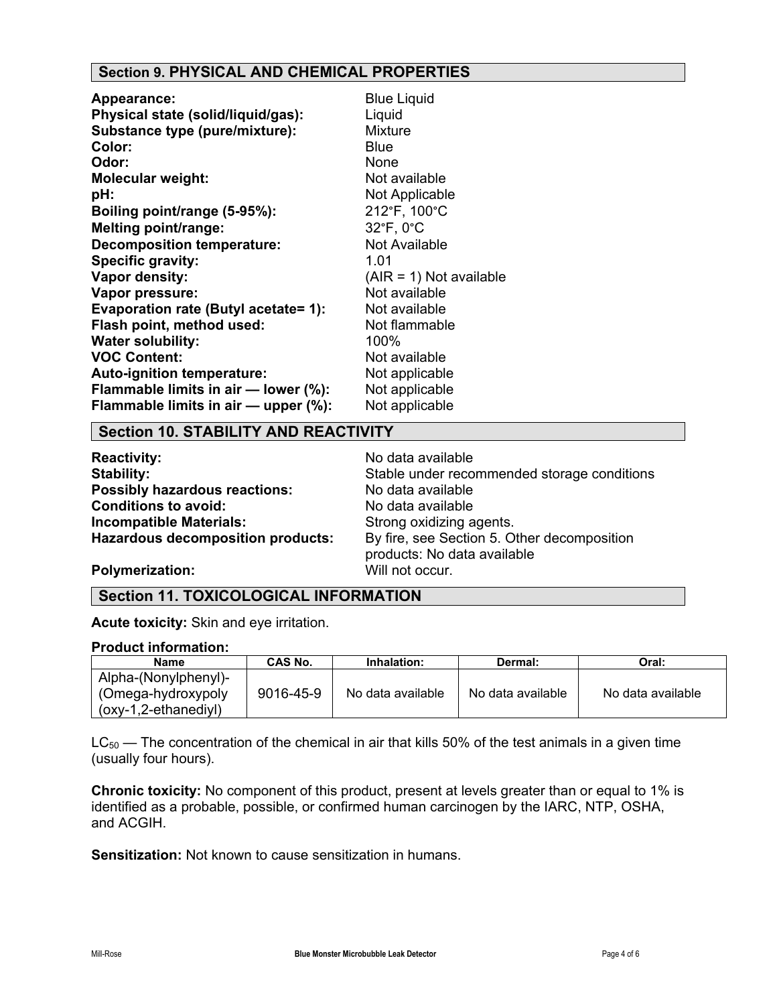# **Section 9. PHYSICAL AND CHEMICAL PROPERTIES**

| <b>Appearance:</b>                   | <b>Blue Liquid</b>        |
|--------------------------------------|---------------------------|
| Physical state (solid/liquid/gas):   | Liquid                    |
| Substance type (pure/mixture):       | <b>Mixture</b>            |
| Color:                               | <b>Blue</b>               |
| Odor:                                | None                      |
| <b>Molecular weight:</b>             | Not available             |
| pH:                                  | Not Applicable            |
| Boiling point/range (5-95%):         | 212°F, 100°C              |
| <b>Melting point/range:</b>          | 32°F, 0°C                 |
| <b>Decomposition temperature:</b>    | Not Available             |
| Specific gravity:                    | 1.01                      |
| Vapor density:                       | $(AIR = 1)$ Not available |
| Vapor pressure:                      | Not available             |
| Evaporation rate (Butyl acetate= 1): | Not available             |
| Flash point, method used:            | Not flammable             |
| <b>Water solubility:</b>             | 100%                      |
| <b>VOC Content:</b>                  | Not available             |
| Auto-ignition temperature:           | Not applicable            |
| Flammable limits in air - lower (%): | Not applicable            |
| Flammable limits in air - upper (%): | Not applicable            |

#### **Section 10. STABILITY AND REACTIVITY**

**Reactivity:** No data available **Possibly hazardous reactions:** No data available **Conditions to avoid:** No data available **Incompatible Materials:** Strong oxidizing agents.<br>**Hazardous decomposition products:** By fire, see Section 5. O

**Stability:** Stable under recommended storage conditions By fire, see Section 5. Other decomposition products: No data available

**Polymerization:** Will not occur.

### **Section 11. TOXICOLOGICAL INFORMATION**

**Acute toxicity:** Skin and eye irritation.

#### **Product information:**

| <b>Name</b>           | CAS No.   | Inhalation:       | Dermal:           | Oral:             |
|-----------------------|-----------|-------------------|-------------------|-------------------|
| Alpha-(Nonylphenyl)-  |           |                   |                   |                   |
| (Omega-hydroxypoly)   | 9016-45-9 | No data available | No data available | No data available |
| $(0xy-1,2-ethanediy)$ |           |                   |                   |                   |

 $LC_{50}$  — The concentration of the chemical in air that kills 50% of the test animals in a given time (usually four hours).

**Chronic toxicity:** No component of this product, present at levels greater than or equal to 1% is identified as a probable, possible, or confirmed human carcinogen by the IARC, NTP, OSHA, and ACGIH.

**Sensitization:** Not known to cause sensitization in humans.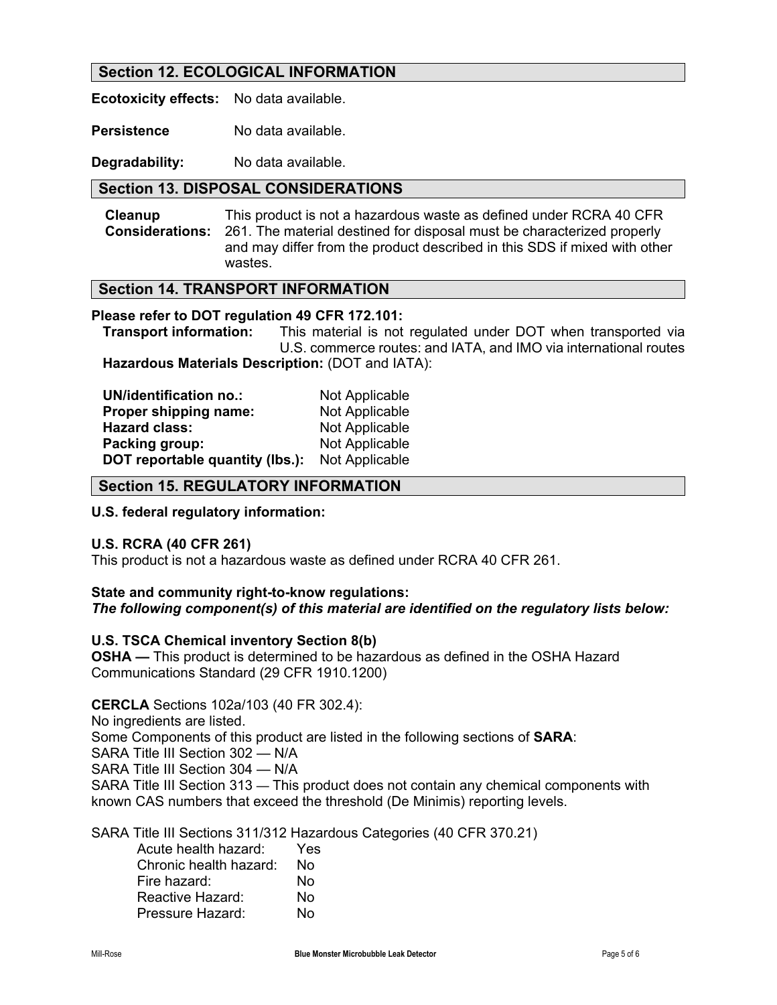### **Section 12. ECOLOGICAL INFORMATION**

**Ecotoxicity effects:** No data available.

**Persistence** No data available.

**Degradability:** No data available.

### **Section 13. DISPOSAL CONSIDERATIONS**

**Cleanup Considerations:**  This product is not a hazardous waste as defined under RCRA 40 CFR 261. The material destined for disposal must be characterized properly and may differ from the product described in this SDS if mixed with other wastes.

### **Section 14. TRANSPORT INFORMATION**

#### **Please refer to DOT regulation 49 CFR 172.101:**

 **Transport information:** This material is not regulated under DOT when transported via U.S. commerce routes: and IATA, and IMO via international routes **Hazardous Materials Description:** (DOT and IATA):

| <b>UN/identification no.:</b>   | Not Applicable |
|---------------------------------|----------------|
| Proper shipping name:           | Not Applicable |
| <b>Hazard class:</b>            | Not Applicable |
| Packing group:                  | Not Applicable |
| DOT reportable quantity (lbs.): | Not Applicable |

#### **Section 15. REGULATORY INFORMATION**

#### **U.S. federal regulatory information:**

#### **U.S. RCRA (40 CFR 261)**

This product is not a hazardous waste as defined under RCRA 40 CFR 261.

# **State and community right-to-know regulations:**

### *The following component(s) of this material are identified on the regulatory lists below:*

#### **U.S. TSCA Chemical inventory Section 8(b)**

**OSHA —** This product is determined to be hazardous as defined in the OSHA Hazard Communications Standard (29 CFR 1910.1200)

**CERCLA** Sections 102a/103 (40 FR 302.4): No ingredients are listed. Some Components of this product are listed in the following sections of **SARA**: SARA Title III Section 302 — N/A SARA Title III Section 304 — N/A SARA Title III Section 313 — This product does not contain any chemical components with known CAS numbers that exceed the threshold (De Minimis) reporting levels.

SARA Title III Sections 311/312 Hazardous Categories (40 CFR 370.21)

| Acute health hazard:   | Yes |
|------------------------|-----|
| Chronic health hazard: | No  |
| Fire hazard:           | N٥  |
| Reactive Hazard:       | No  |
| Pressure Hazard:       | N٥  |
|                        |     |